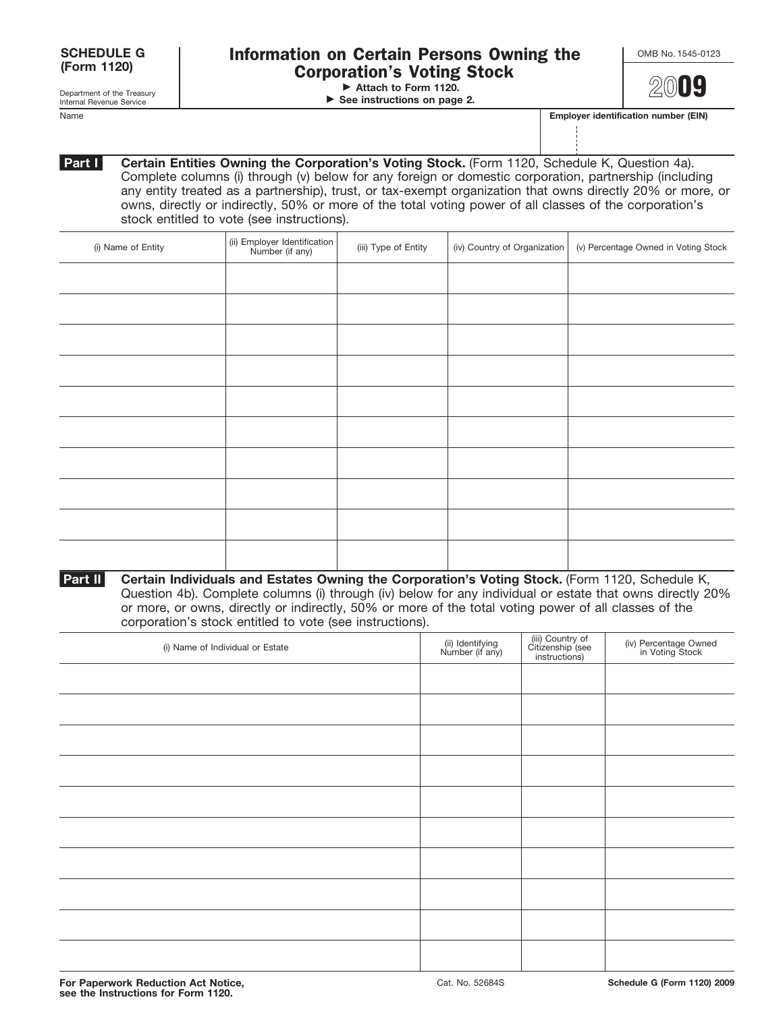| For Paperwork Reduction Act Notice, |  |
|-------------------------------------|--|
| see the Instructions for Form 1120. |  |

Name **Employer identification number (EIN)**

Cat. No. 52684S **Schedule G (Form 1120) 2009**

**Certain Entities Owning the Corporation's Voting Stock.** (Form 1120, Schedule K, Question 4a). Complete columns (i) through (v) below for any foreign or domestic corporation, partnership (including any entity treated as a partnership), trust, or tax-exempt organization that owns directly 20% or more, or owns, directly or indirectly, 50% or more of the total voting power of all classes of the corporation's stock entitled to vote (see instructions).

| (i) Name of Entity | (ii) Employer Identification<br>Number (if any) | (iii) Type of Entity | (iv) Country of Organization | (v) Percentage Owned in Voting Stock |
|--------------------|-------------------------------------------------|----------------------|------------------------------|--------------------------------------|
|                    |                                                 |                      |                              |                                      |
|                    |                                                 |                      |                              |                                      |
|                    |                                                 |                      |                              |                                      |
|                    |                                                 |                      |                              |                                      |
|                    |                                                 |                      |                              |                                      |
|                    |                                                 |                      |                              |                                      |
|                    |                                                 |                      |                              |                                      |
|                    |                                                 |                      |                              |                                      |
|                    |                                                 |                      |                              |                                      |
|                    |                                                 |                      |                              |                                      |

**Certain Individuals and Estates Owning the Corporation's Voting Stock.** (Form 1120, Schedule K, Question 4b). Complete columns (i) through (iv) below for any individual or estate that owns directly 20% or more, or owns, directly or indirectly, 50% or more of the total voting power of all classes of the corporation's stock entitled to vote (see instructions). **Part II**

| (i) Name of Individual or Estate | (ii) Identifying<br>Number (if any) | (iii) Country of<br>Citizenship (see<br>instructions) | (iv) Percentage Owned<br>in Voting Stock |
|----------------------------------|-------------------------------------|-------------------------------------------------------|------------------------------------------|
|                                  |                                     |                                                       |                                          |
|                                  |                                     |                                                       |                                          |
|                                  |                                     |                                                       |                                          |
|                                  |                                     |                                                       |                                          |
|                                  |                                     |                                                       |                                          |
|                                  |                                     |                                                       |                                          |
|                                  |                                     |                                                       |                                          |
|                                  |                                     |                                                       |                                          |
|                                  |                                     |                                                       |                                          |
|                                  |                                     |                                                       |                                          |

| Information on Certain Persons Owning the    | OMB No. 1545-0 |
|----------------------------------------------|----------------|
| <b>Corporation's Voting Stock</b>            |                |
| $\triangleright$ Attach to Form 1120.        | 2009           |
| $\triangleright$ See instructions on page 2. |                |

Department of the Treasury Internal Revenue Service

**Part I**